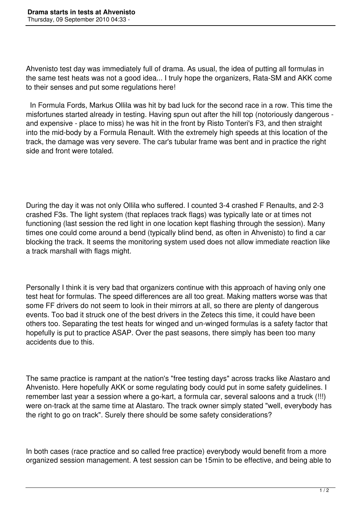Ahvenisto test day was immediately full of drama. As usual, the idea of putting all formulas in the same test heats was not a good idea... I truly hope the organizers, Rata-SM and AKK come to their senses and put some regulations here!

 In Formula Fords, Markus Ollila was hit by bad luck for the second race in a row. This time the misfortunes started already in testing. Having spun out after the hill top (notoriously dangerous and expensive - place to miss) he was hit in the front by Risto Tonteri's F3, and then straight into the mid-body by a Formula Renault. With the extremely high speeds at this location of the track, the damage was very severe. The car's tubular frame was bent and in practice the right side and front were totaled.

During the day it was not only Ollila who suffered. I counted 3-4 crashed F Renaults, and 2-3 crashed F3s. The light system (that replaces track flags) was typically late or at times not functioning (last session the red light in one location kept flashing through the session). Many times one could come around a bend (typically blind bend, as often in Ahvenisto) to find a car blocking the track. It seems the monitoring system used does not allow immediate reaction like a track marshall with flags might.

Personally I think it is very bad that organizers continue with this approach of having only one test heat for formulas. The speed differences are all too great. Making matters worse was that some FF drivers do not seem to look in their mirrors at all, so there are plenty of dangerous events. Too bad it struck one of the best drivers in the Zetecs this time, it could have been others too. Separating the test heats for winged and un-winged formulas is a safety factor that hopefully is put to practice ASAP. Over the past seasons, there simply has been too many accidents due to this.

The same practice is rampant at the nation's "free testing days" across tracks like Alastaro and Ahvenisto. Here hopefully AKK or some regulating body could put in some safety guidelines. I remember last year a session where a go-kart, a formula car, several saloons and a truck (!!!) were on-track at the same time at Alastaro. The track owner simply stated "well, everybody has the right to go on track". Surely there should be some safety considerations?

In both cases (race practice and so called free practice) everybody would benefit from a more organized session management. A test session can be 15min to be effective, and being able to